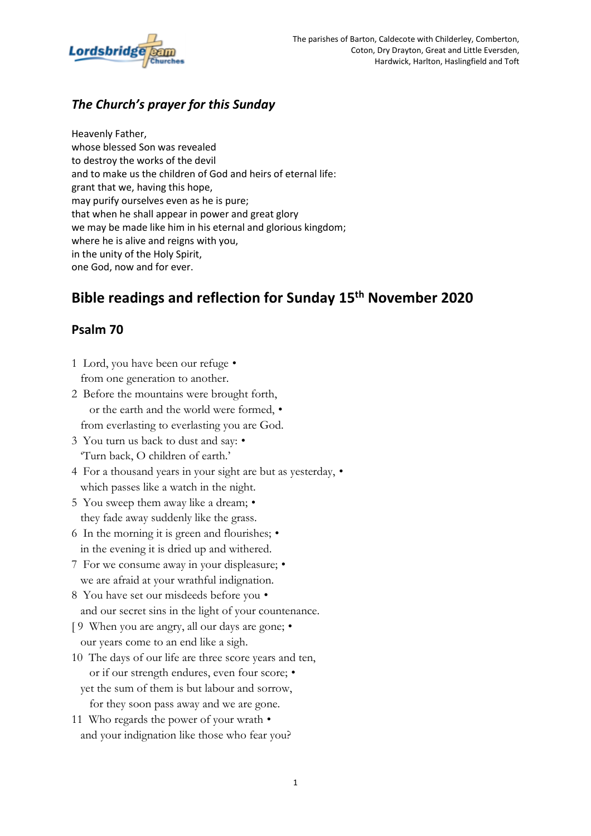

## *The Church's prayer for this Sunday*

Heavenly Father, whose blessed Son was revealed to destroy the works of the devil and to make us the children of God and heirs of eternal life: grant that we, having this hope, may purify ourselves even as he is pure; that when he shall appear in power and great glory we may be made like him in his eternal and glorious kingdom; where he is alive and reigns with you, in the unity of the Holy Spirit, one God, now and for ever.

# **Bible readings and reflection for Sunday 15th November 2020**

## **Psalm 70**

- 1 Lord, you have been our refuge *•* from one generation to another.
- 2 Before the mountains were brought forth, or the earth and the world were formed, *•* from everlasting to everlasting you are God.
- 3 You turn us back to dust and say: *•* 'Turn back, O children of earth.'
- 4 For a thousand years in your sight are but as yesterday, *•* which passes like a watch in the night.
- 5 You sweep them away like a dream; *•* they fade away suddenly like the grass.
- 6 In the morning it is green and flourishes; *•* in the evening it is dried up and withered.
- 7 For we consume away in your displeasure; *•* we are afraid at your wrathful indignation.
- 8 You have set our misdeeds before you *•* and our secret sins in the light of your countenance.
- [ 9 When you are angry, all our days are gone; *•*
- our years come to an end like a sigh.
- 10 The days of our life are three score years and ten, or if our strength endures, even four score; *•*
	- yet the sum of them is but labour and sorrow, for they soon pass away and we are gone.
- 11 Who regards the power of your wrath *•* and your indignation like those who fear you?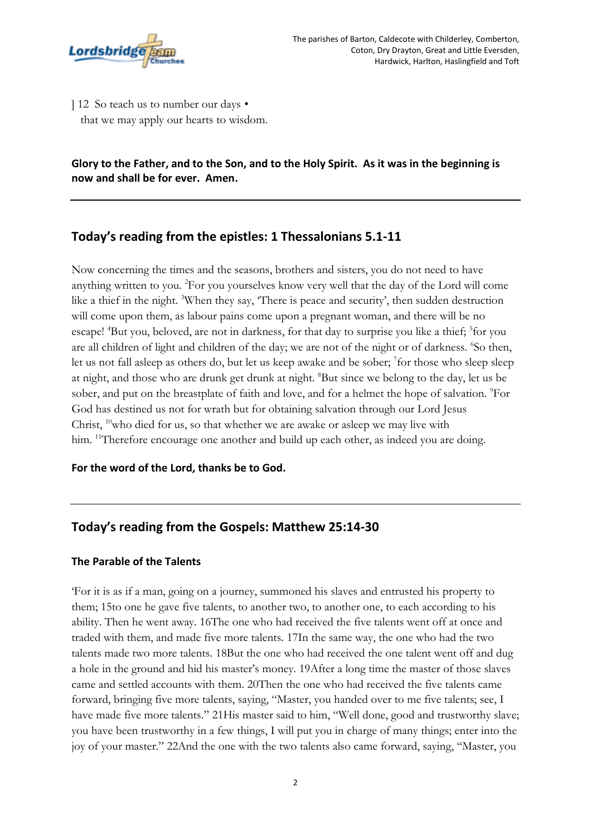

] 12 So teach us to number our days *•* that we may apply our hearts to wisdom.

**Glory to the Father, and to the Son, and to the Holy Spirit. As it was in the beginning is now and shall be for ever. Amen.**

#### **Today's reading from the epistles: 1 Thessalonians 5.1-11**

Now concerning the times and the seasons, brothers and sisters, you do not need to have anything written to you. <sup>2</sup>For you yourselves know very well that the day of the Lord will come like a thief in the night. <sup>3</sup>When they say, 'There is peace and security', then sudden destruction will come upon them, as labour pains come upon a pregnant woman, and there will be no escape! <sup>4</sup>But you, beloved, are not in darkness, for that day to surprise you like a thief; <sup>5</sup>for you are all children of light and children of the day; we are not of the night or of darkness. 'So then, let us not fall asleep as others do, but let us keep awake and be sober; <sup>7</sup> for those who sleep sleep at night, and those who are drunk get drunk at night. <sup>8</sup>But since we belong to the day, let us be sober, and put on the breastplate of faith and love, and for a helmet the hope of salvation. <sup>9</sup>For God has destined us not for wrath but for obtaining salvation through our Lord Jesus Christ,  $10$ <sub>w</sub>ho died for us, so that whether we are awake or asleep we may live with him. <sup>11</sup>Therefore encourage one another and build up each other, as indeed you are doing.

**For the word of the Lord, thanks be to God.** 

#### **Today's reading from the Gospels: Matthew 25:14-30**

#### **The Parable of the Talents**

'For it is as if a man, going on a journey, summoned his slaves and entrusted his property to them; 15to one he gave five talents, to another two, to another one, to each according to his ability. Then he went away. 16The one who had received the five talents went off at once and traded with them, and made five more talents. 17In the same way, the one who had the two talents made two more talents. 18But the one who had received the one talent went off and dug a hole in the ground and hid his master's money. 19After a long time the master of those slaves came and settled accounts with them. 20Then the one who had received the five talents came forward, bringing five more talents, saying, "Master, you handed over to me five talents; see, I have made five more talents." 21His master said to him, "Well done, good and trustworthy slave; you have been trustworthy in a few things, I will put you in charge of many things; enter into the joy of your master." 22And the one with the two talents also came forward, saying, "Master, you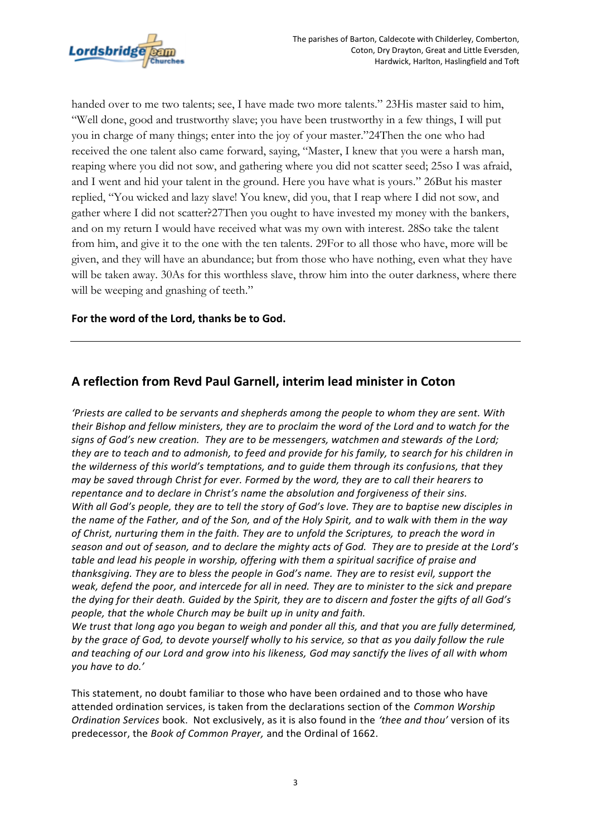

handed over to me two talents; see, I have made two more talents." 23His master said to him, "Well done, good and trustworthy slave; you have been trustworthy in a few things, I will put you in charge of many things; enter into the joy of your master."24Then the one who had received the one talent also came forward, saying, "Master, I knew that you were a harsh man, reaping where you did not sow, and gathering where you did not scatter seed; 25so I was afraid, and I went and hid your talent in the ground. Here you have what is yours." 26But his master replied, "You wicked and lazy slave! You knew, did you, that I reap where I did not sow, and gather where I did not scatter?27Then you ought to have invested my money with the bankers, and on my return I would have received what was my own with interest. 28So take the talent from him, and give it to the one with the ten talents. 29For to all those who have, more will be given, and they will have an abundance; but from those who have nothing, even what they have will be taken away. 30As for this worthless slave, throw him into the outer darkness, where there will be weeping and gnashing of teeth."

#### **For the word of the Lord, thanks be to God.**

## **A reflection from Revd Paul Garnell, interim lead minister in Coton**

*'Priests are called to be servants and shepherds among the people to whom they are sent. With their Bishop and fellow ministers, they are to proclaim the word of the Lord and to watch for the signs of God's new creation. They are to be messengers, watchmen and stewards of the Lord; they are to teach and to admonish, to feed and provide for his family, to search for his children in the wilderness of this world's temptations, and to guide them through its confusions, that they may be saved through Christ for ever. Formed by the word, they are to call their hearers to repentance and to declare in Christ's name the absolution and forgiveness of their sins. With all God's people, they are to tell the story of God's love. They are to baptise new disciples in the name of the Father, and of the Son, and of the Holy Spirit, and to walk with them in the way of Christ, nurturing them in the faith. They are to unfold the Scriptures, to preach the word in season and out of season, and to declare the mighty acts of God. They are to preside at the Lord's table and lead his people in worship, offering with them a spiritual sacrifice of praise and thanksgiving. They are to bless the people in God's name. They are to resist evil, support the weak, defend the poor, and intercede for all in need. They are to minister to the sick and prepare the dying for their death. Guided by the Spirit, they are to discern and foster the gifts of all God's people, that the whole Church may be built up in unity and faith.*

*We trust that long ago you began to weigh and ponder all this, and that you are fully determined, by the grace of God, to devote yourself wholly to his service, so that as you daily follow the rule and teaching of our Lord and grow into his likeness, God may sanctify the lives of all with whom you have to do.'* 

This statement, no doubt familiar to those who have been ordained and to those who have attended ordination services, is taken from the declarations section of the *Common Worship Ordination Services* book. Not exclusively, as it is also found in the *'thee and thou'* version of its predecessor, the *Book of Common Prayer,* and the Ordinal of 1662.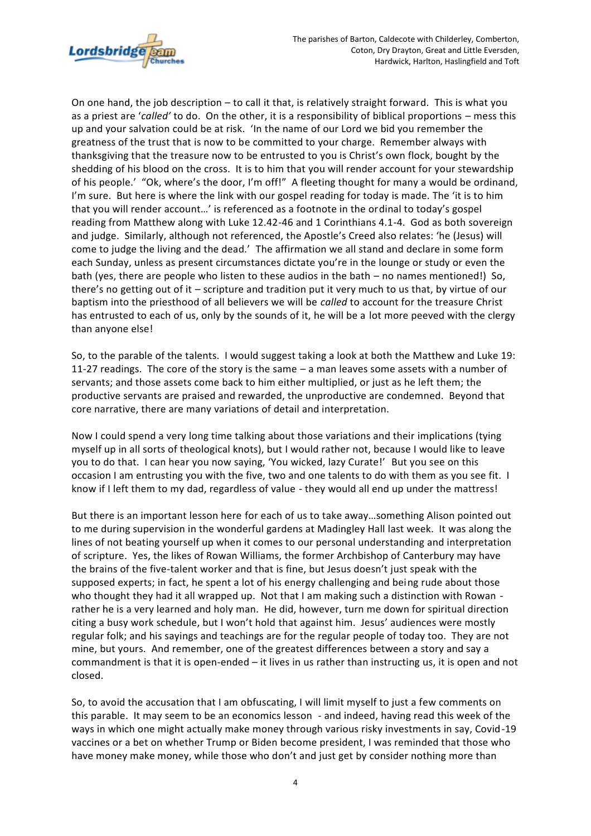

On one hand, the job description – to call it that, is relatively straight forward. This is what you as a priest are '*called'* to do. On the other, it is a responsibility of biblical proportions – mess this up and your salvation could be at risk. 'In the name of our Lord we bid you remember the greatness of the trust that is now to be committed to your charge. Remember always with thanksgiving that the treasure now to be entrusted to you is Christ's own flock, bought by the shedding of his blood on the cross. It is to him that you will render account for your stewardship of his people.' "Ok, where's the door, I'm off!" A fleeting thought for many a would be ordinand, I'm sure. But here is where the link with our gospel reading for today is made. The 'it is to him that you will render account…' is referenced as a footnote in the ordinal to today's gospel reading from Matthew along with Luke 12.42-46 and 1 Corinthians 4.1-4. God as both sovereign and judge. Similarly, although not referenced, the Apostle's Creed also relates: 'he (Jesus) will come to judge the living and the dead.' The affirmation we all stand and declare in some form each Sunday, unless as present circumstances dictate you're in the lounge or study or even the bath (yes, there are people who listen to these audios in the bath – no names mentioned!) So, there's no getting out of it – scripture and tradition put it very much to us that, by virtue of our baptism into the priesthood of all believers we will be *called* to account for the treasure Christ has entrusted to each of us, only by the sounds of it, he will be a lot more peeved with the clergy than anyone else!

So, to the parable of the talents. I would suggest taking a look at both the Matthew and Luke 19: 11-27 readings. The core of the story is the same – a man leaves some assets with a number of servants; and those assets come back to him either multiplied, or just as he left them; the productive servants are praised and rewarded, the unproductive are condemned. Beyond that core narrative, there are many variations of detail and interpretation.

Now I could spend a very long time talking about those variations and their implications (tying myself up in all sorts of theological knots), but I would rather not, because I would like to leave you to do that. I can hear you now saying, 'You wicked, lazy Curate!' But you see on this occasion I am entrusting you with the five, two and one talents to do with them as you see fit. I know if I left them to my dad, regardless of value - they would all end up under the mattress!

But there is an important lesson here for each of us to take away…something Alison pointed out to me during supervision in the wonderful gardens at Madingley Hall last week. It was along the lines of not beating yourself up when it comes to our personal understanding and interpretation of scripture. Yes, the likes of Rowan Williams, the former Archbishop of Canterbury may have the brains of the five-talent worker and that is fine, but Jesus doesn't just speak with the supposed experts; in fact, he spent a lot of his energy challenging and being rude about those who thought they had it all wrapped up. Not that I am making such a distinction with Rowan rather he is a very learned and holy man. He did, however, turn me down for spiritual direction citing a busy work schedule, but I won't hold that against him. Jesus' audiences were mostly regular folk; and his sayings and teachings are for the regular people of today too. They are not mine, but yours. And remember, one of the greatest differences between a story and say a commandment is that it is open-ended – it lives in us rather than instructing us, it is open and not closed.

So, to avoid the accusation that I am obfuscating, I will limit myself to just a few comments on this parable. It may seem to be an economics lesson - and indeed, having read this week of the ways in which one might actually make money through various risky investments in say, Covid-19 vaccines or a bet on whether Trump or Biden become president, I was reminded that those who have money make money, while those who don't and just get by consider nothing more than